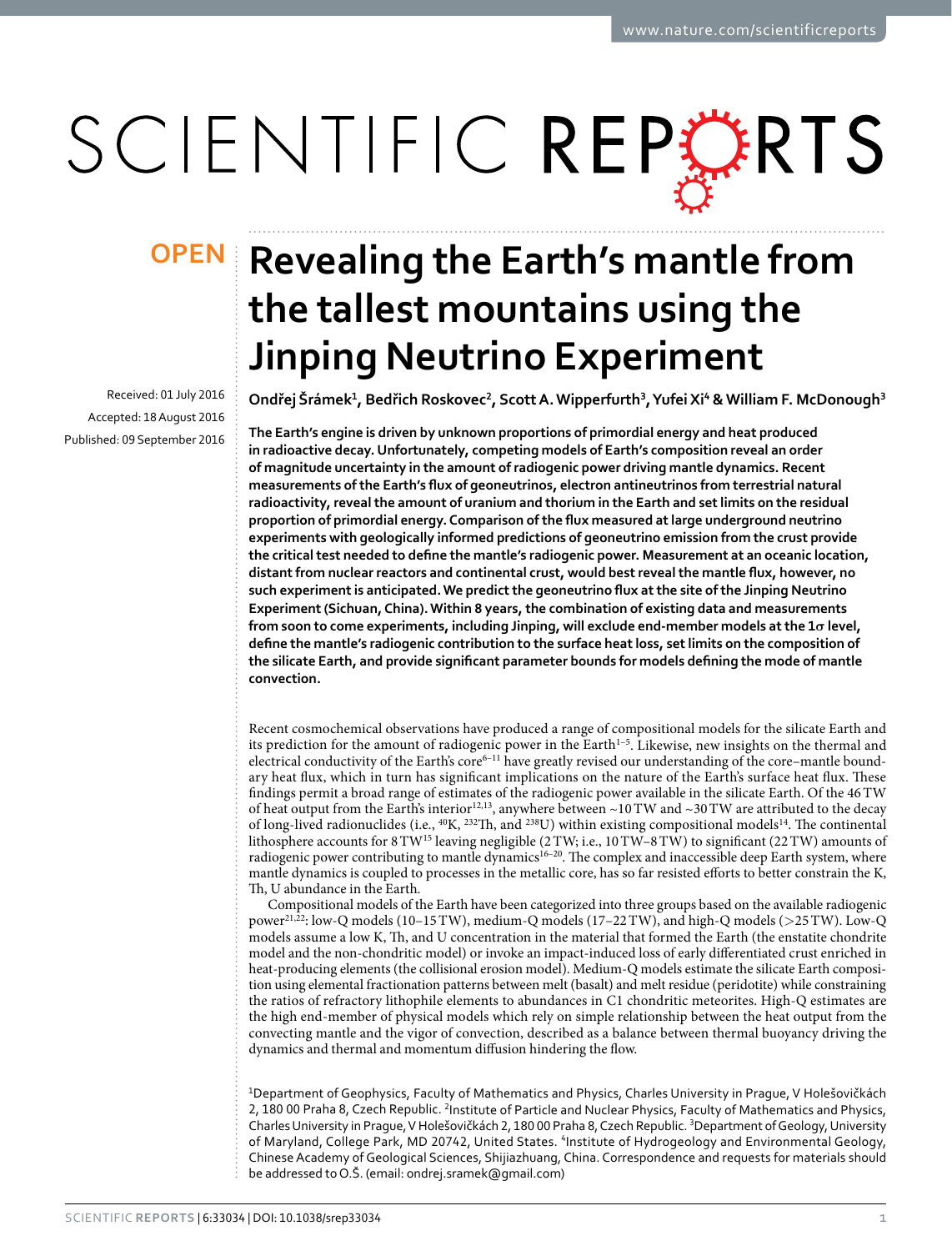# SCIENTIFIC REPERTS

received: 01 July 2016 accepted: 18 August 2016 Published: 09 September 2016

## **Revealing the Earth's mantle from OPENthe tallest mountains using the Jinping Neutrino Experiment**

**Ondřej Šrámek1, Bedřich Roskovec2, Scott A. Wipperfurth<sup>3</sup>, YufeiXi<sup>4</sup> &William F. McDonough3**

**The Earth's engine is driven by unknown proportions of primordial energy and heat produced in radioactive decay. Unfortunately, competing models of Earth's composition reveal an order of magnitude uncertainty in the amount of radiogenic power driving mantle dynamics. Recent measurements ofthe Earth's flux of geoneutrinos, electron antineutrinos from terrestrial natural radioactivity, revealthe amount of uranium and thorium in the Earth and setlimits on the residual proportion of primordial energy. Comparison ofthe flux measured atlarge underground neutrino experiments with geologically informed predictions of geoneutrino emission from the crust provide the criticaltest needed to define the mantle's radiogenic power. Measurement at an oceanic location, distantfrom nuclear reactors and continental crust, would bestrevealthe mantle flux, however, no such experimentis anticipated.We predictthe geoneutrino flux atthe site ofthe Jinping Neutrino Experiment(Sichuan,China).Within 8 years,the combination of existing data and measurements from soon to come experiments, including Jinping, will exclude end-member models atthe 1σ level, define the mantle's radiogenic contribution to the surface heatloss, setlimits on the composition of the silicate Earth, and provide significant parameter bounds for models defining the mode of mantle convection.**

Recent cosmochemical observations have produced a range of compositional models for the silicate Earth and its prediction for the amount of radiogenic power in the Earth<sup>1-5</sup>. Likewise, new insights on the thermal and electrical conductivity of the Earth's core<sup>6-11</sup> have greatly revised our understanding of the core–mantle boundary heat flux, which in turn has significant implications on the nature of the Earth's surface heat flux. These findings permit a broad range of estimates of the radiogenic power available in the silicate Earth. Of the 46TW of heat output from the Earth's interior<sup>12[,13](#page-8-1)</sup>, anywhere between ~10 TW and ~30 TW are attributed to the decay of long-lived radionuclides (i.e., 40K, 232Th, and 238U) within existing compositional model[s14](#page-8-2). The continental lithosphere accounts for  $8 \text{TW}^{15}$  $8 \text{TW}^{15}$  $8 \text{TW}^{15}$  leaving negligible (2TW; i.e., 10TW–8TW) to significant (22TW) amounts of radiogenic power contributing to mantle dynamics<sup>16-20</sup>. The complex and inaccessible deep Earth system, where mantle dynamics is coupled to processes in the metallic core, has so far resisted efforts to better constrain the K, Th, U abundance in the Earth.

Compositional models of the Earth have been categorized into three groups based on the available radiogenic power<sup>21,22</sup>: low-Q models (10–15 TW), medium-Q models (17–22 TW), and high-Q models ( $>$ 25 TW). Low-Q models assume a low K, Th, and U concentration in the material that formed the Earth (the enstatite chondrite model and the non-chondritic model) or invoke an impact-induced loss of early differentiated crust enriched in heat-producing elements (the collisional erosion model). Medium-Q models estimate the silicate Earth composition using elemental fractionation patterns between melt (basalt) and melt residue (peridotite) while constraining the ratios of refractory lithophile elements to abundances in C1 chondritic meteorites. High-Q estimates are the high end-member of physical models which rely on simple relationship between the heat output from the convecting mantle and the vigor of convection, described as a balance between thermal buoyancy driving the dynamics and thermal and momentum diffusion hindering the flow.

1Department of Geophysics, Faculty of Mathematics and Physics, Charles University in Prague, V Holešovičkách 2, 180 00 Praha 8, Czech Republic. <sup>2</sup>Institute of Particle and Nuclear Physics, Faculty of Mathematics and Physics, Charles University in Prague, V Holešovičkách 2, 180 00 Praha 8, Czech Republic.<sup>3</sup>Department of Geology, University of Maryland, College Park, MD 20742, United States. <sup>4</sup>Institute of Hydrogeology and Environmental Geology, Chinese Academy of Geological Sciences, Shijiazhuang, China. Correspondence and requests for materials should be addressed to O.Š. (email: [ondrej.sramek@gmail.com\)](mailto:ondrej.sramek@gmail.com)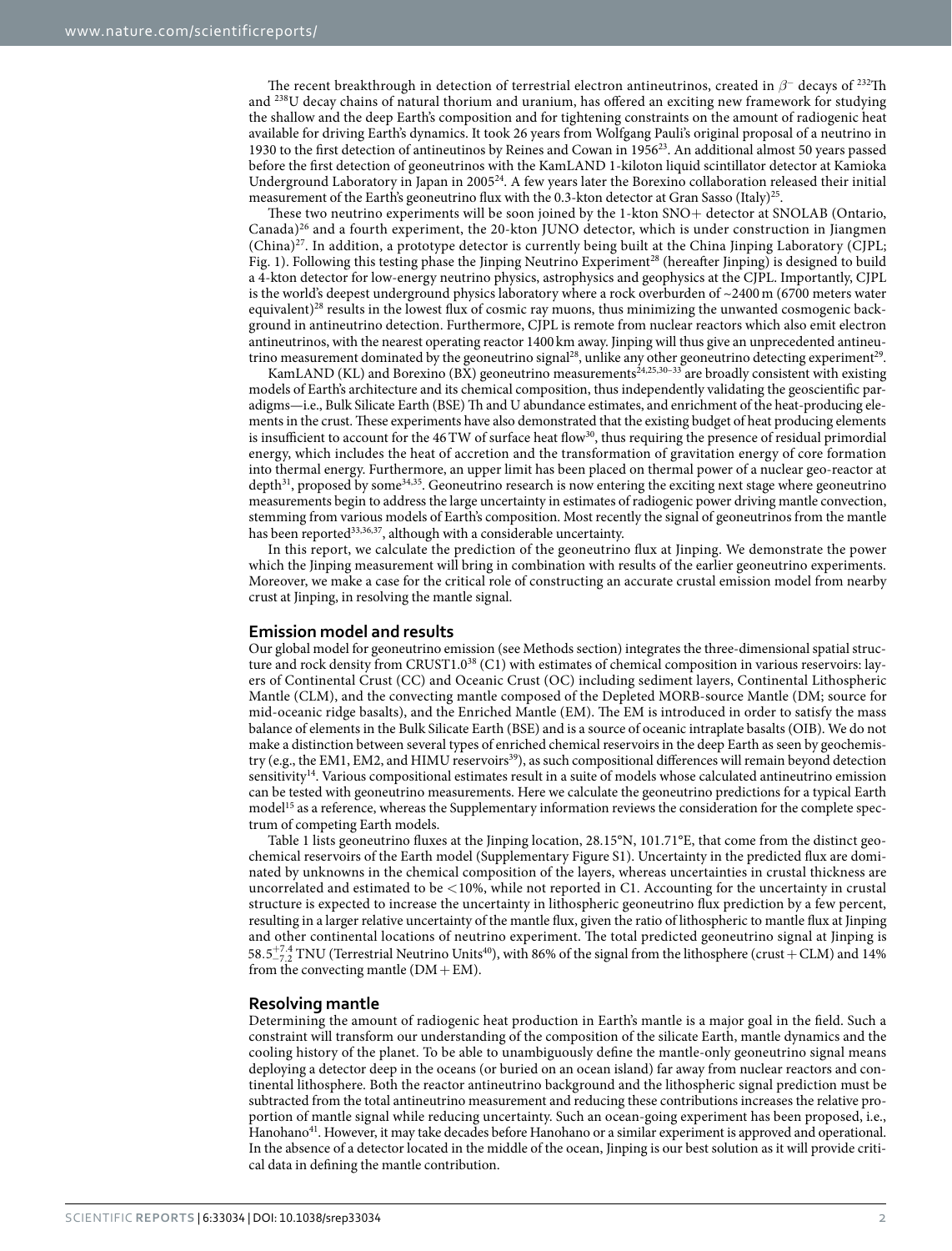The recent breakthrough in detection of terrestrial electron antineutrinos, created in *β*<sup>−</sup> decays of 232Th and 238U decay chains of natural thorium and uranium, has offered an exciting new framework for studying the shallow and the deep Earth's composition and for tightening constraints on the amount of radiogenic heat available for driving Earth's dynamics. It took 26 years from Wolfgang Pauli's original proposal of a neutrino in 1930 to the first detection of antineutinos by Reines and Cowan in 1956<sup>23</sup>. An additional almost 50 years passed before the first detection of geoneutrinos with the KamLAND 1-kiloton liquid scintillator detector at Kamioka Underground Laboratory in Japan in 2005[24](#page-8-8). A few years later the Borexino collaboration released their initial measurement of the Earth's geoneutrino flux with the 0.3-kton detector at Gran Sasso (Italy)<sup>25</sup>.

These two neutrino experiments will be soon joined by the 1-kton SNO+ detector at SNOLAB (Ontario, Canada[\)26](#page-8-10) and a fourth experiment, the 20-kton JUNO detector, which is under construction in Jiangmen  $(China)^{27}$ . In addition, a prototype detector is currently being built at the China Jinping Laboratory (CJPL; [Fig. 1\)](#page-2-0). Following this testing phase the Jinping Neutrino Experiment<sup>28</sup> (hereafter Jinping) is designed to build a 4-kton detector for low-energy neutrino physics, astrophysics and geophysics at the CJPL. Importantly, CJPL is the world's deepest underground physics laboratory where a rock overburden of ~2400m (6700 meters water equivalent)[28](#page-8-12) results in the lowest flux of cosmic ray muons, thus minimizing the unwanted cosmogenic background in antineutrino detection. Furthermore, CJPL is remote from nuclear reactors which also emit electron antineutrinos, with the nearest operating reactor 1400 km away. Jinping will thus give an unprecedented antineutrino measurement dominated by the geoneutrino signal<sup>28</sup>, unlike any other geoneutrino detecting experiment<sup>29</sup>.

KamLAND (KL) and Borexino (BX) geoneutrino measurements<sup>24[,25,](#page-8-9)[30–33](#page-8-14)</sup> are broadly consistent with existing models of Earth's architecture and its chemical composition, thus independently validating the geoscientific paradigms—i.e., Bulk Silicate Earth (BSE) Th and U abundance estimates, and enrichment of the heat-producing elements in the crust. These experiments have also demonstrated that the existing budget of heat producing elements is insufficient to account for the 46 TW of surface heat flow<sup>30</sup>, thus requiring the presence of residual primordial energy, which includes the heat of accretion and the transformation of gravitation energy of core formation into thermal energy. Furthermore, an upper limit has been placed on thermal power of a nuclear geo-reactor at depth $31$ , proposed by some $34,35$ . Geoneutrino research is now entering the exciting next stage where geoneutrino measurements begin to address the large uncertainty in estimates of radiogenic power driving mantle convection, stemming from various models of Earth's composition. Most recently the signal of geoneutrinos from the mantle has been reported<sup>[33](#page-8-18),[36](#page-8-19),[37](#page-8-20)</sup>, although with a considerable uncertainty.

In this report, we calculate the prediction of the geoneutrino flux at Jinping. We demonstrate the power which the Jinping measurement will bring in combination with results of the earlier geoneutrino experiments. Moreover, we make a case for the critical role of constructing an accurate crustal emission model from nearby crust at Jinping, in resolving the mantle signal.

#### **Emission model and results**

Our global model for geoneutrino emission (see Methods section) integrates the three-dimensional spatial struc-ture and rock density from CRUST1.0<sup>[38](#page-8-21)</sup> (C1) with estimates of chemical composition in various reservoirs: layers of Continental Crust (CC) and Oceanic Crust (OC) including sediment layers, Continental Lithospheric Mantle (CLM), and the convecting mantle composed of the Depleted MORB-source Mantle (DM; source for mid-oceanic ridge basalts), and the Enriched Mantle (EM). The EM is introduced in order to satisfy the mass balance of elements in the Bulk Silicate Earth (BSE) and is a source of oceanic intraplate basalts (OIB). We do not make a distinction between several types of enriched chemical reservoirs in the deep Earth as seen by geochemistry (e.g., the EM1, EM2, and HIMU reservoirs<sup>39</sup>), as such compositional differences will remain beyond detection sensitivity<sup>[14](#page-8-2)</sup>. Various compositional estimates result in a suite of models whose calculated antineutrino emission can be tested with geoneutrino measurements. Here we calculate the geoneutrino predictions for a typical Earth model<sup>15</sup> as a reference, whereas the Supplementary information reviews the consideration for the complete spectrum of competing Earth models.

[Table 1](#page-3-0) lists geoneutrino fluxes at the Jinping location, 28.15°N, 101.71°E, that come from the distinct geochemical reservoirs of the Earth model (Supplementary Figure S1). Uncertainty in the predicted flux are dominated by unknowns in the chemical composition of the layers, whereas uncertainties in crustal thickness are uncorrelated and estimated to be <10%, while not reported in C1. Accounting for the uncertainty in crustal structure is expected to increase the uncertainty in lithospheric geoneutrino flux prediction by a few percent, resulting in a larger relative uncertainty of the mantle flux, given the ratio of lithospheric to mantle flux at Jinping and other continental locations of neutrino experiment. The total predicted geoneutrino signal at Jinping is  $58.5^{+7.4}_{-7.2}$  TNU (Terrestrial Neutrino Units<sup>40</sup>), with 86% of the signal from the lithosphere (crust + CLM) and 14% from the convecting mantle  $(DM+EM)$ .

### **Resolving mantle**

Determining the amount of radiogenic heat production in Earth's mantle is a major goal in the field. Such a constraint will transform our understanding of the composition of the silicate Earth, mantle dynamics and the cooling history of the planet. To be able to unambiguously define the mantle-only geoneutrino signal means deploying a detector deep in the oceans (or buried on an ocean island) far away from nuclear reactors and continental lithosphere. Both the reactor antineutrino background and the lithospheric signal prediction must be subtracted from the total antineutrino measurement and reducing these contributions increases the relative proportion of mantle signal while reducing uncertainty. Such an ocean-going experiment has been proposed, i.e., Hanohano<sup>41</sup>. However, it may take decades before Hanohano or a similar experiment is approved and operational. In the absence of a detector located in the middle of the ocean, Jinping is our best solution as it will provide critical data in defining the mantle contribution.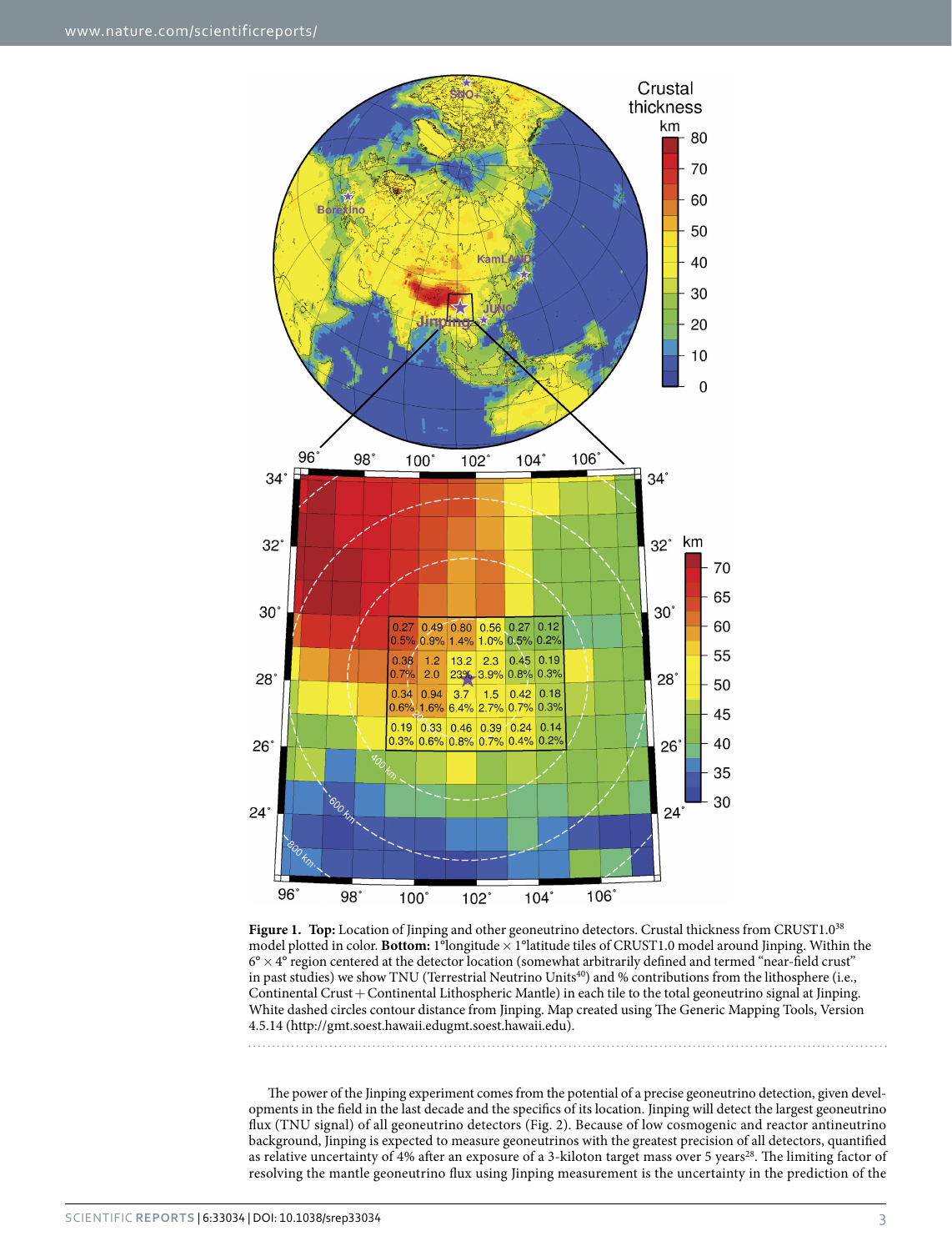

<span id="page-2-0"></span>Figure 1. Top: Location of Jinping and other geoneutrino detectors. Crustal thickness from CRUST1.0<sup>[38](#page-8-21)</sup> model plotted in color. **Bottom:** 1<sup>°</sup>longitude × 1°latitude tiles of CRUST1.0 model around Jinping. Within the  $6^\circ \times 4^\circ$  region centered at the detector location (somewhat arbitrarily defined and termed "near-field crust" in past studies) we show TNU (Terrestrial Neutrino Units<sup>[40](#page-8-23)</sup>) and % contributions from the lithosphere (i.e., Continental Crust+Continental Lithospheric Mantle) in each tile to the total geoneutrino signal at Jinping. White dashed circles contour distance from Jinping. Map created using The Generic Mapping Tools, Version 4.5.14 (<http://gmt.soest.hawaii.edugmt.soest.hawaii.edu>).

The power of the Jinping experiment comes from the potential of a precise geoneutrino detection, given developments in the field in the last decade and the specifics of its location. Jinping will detect the largest geoneutrino flux (TNU signal) of all geoneutrino detectors ([Fig. 2](#page-3-1)). Because of low cosmogenic and reactor antineutrino background, Jinping is expected to measure geoneutrinos with the greatest precision of all detectors, quantified as relative uncertainty of 4% after an exposure of a 3-kiloton target mass over 5 years<sup>28</sup>. The limiting factor of resolving the mantle geoneutrino flux using Jinping measurement is the uncertainty in the prediction of the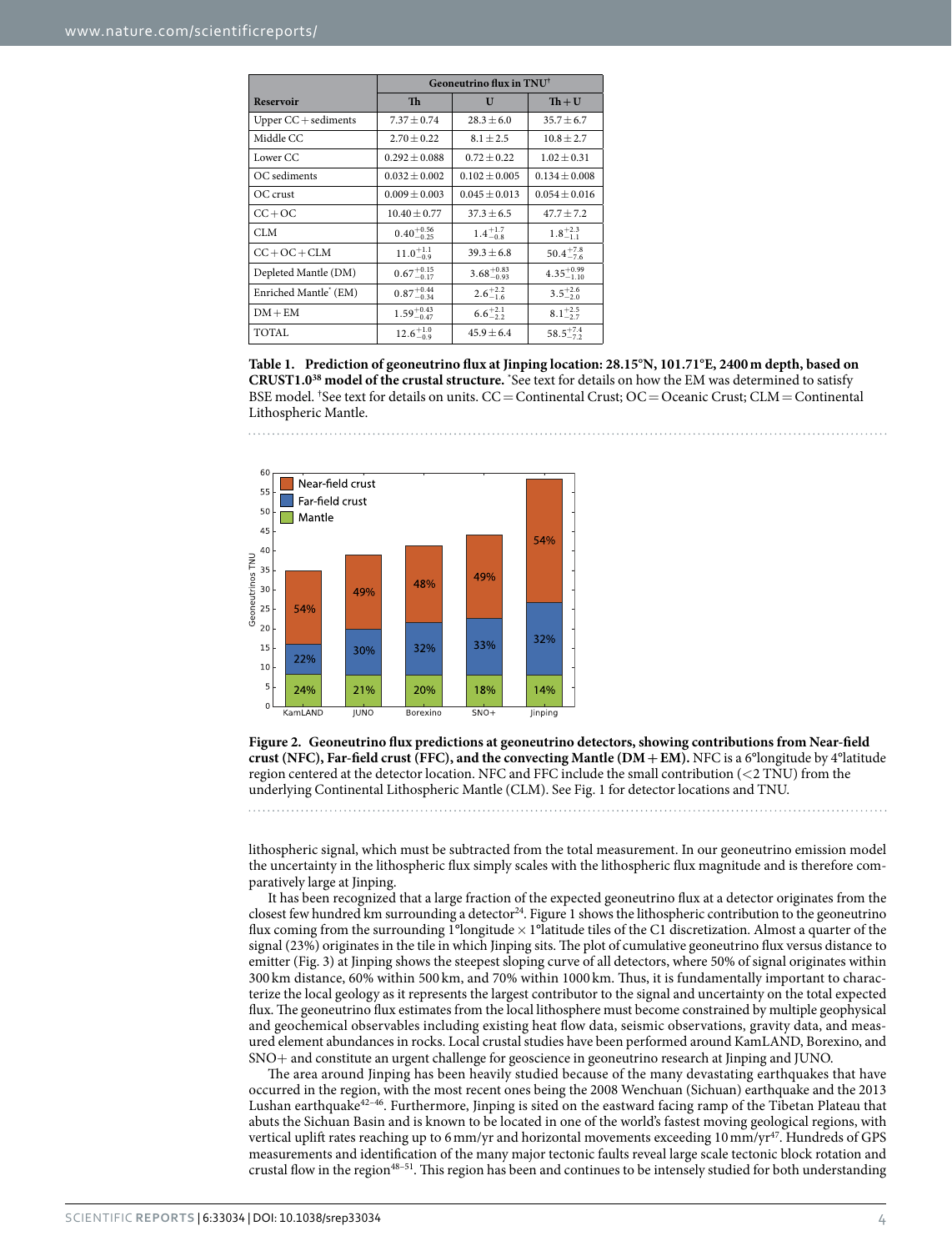<span id="page-3-0"></span>

|                        | Geoneutrino flux in $\text{TNU}^{\dagger}$ |                        |                        |  |  |
|------------------------|--------------------------------------------|------------------------|------------------------|--|--|
| <b>Reservoir</b>       | <b>Th</b>                                  | U                      | $Th + U$               |  |  |
| Upper $CC +$ sediments | $7.37 \pm 0.74$                            | $28.3 \pm 6.0$         | $35.7 \pm 6.7$         |  |  |
| Middle CC              | $2.70 + 0.22$                              | $8.1 + 2.5$            | $10.8 + 2.7$           |  |  |
| Lower CC               | $0.292 \pm 0.088$                          | $0.72 \pm 0.22$        | $1.02 \pm 0.31$        |  |  |
| OC sediments           | $0.032 \pm 0.002$                          | $0.102 \pm 0.005$      | $0.134 \pm 0.008$      |  |  |
| OC crust               | $0.009 \pm 0.003$                          | $0.045 \pm 0.013$      | $0.054 \pm 0.016$      |  |  |
| $CC + OC$              | $10.40 \pm 0.77$                           | $37.3 \pm 6.5$         | $47.7 \pm 7.2$         |  |  |
| <b>CLM</b>             | $0.40^{+0.56}_{-0.25}$                     | $1.4^{+1.7}_{-0.8}$    | $1.8^{+2.3}_{-1.1}$    |  |  |
| $CC + OC + CLM$        | $11.0^{+1.1}_{-0.9}$                       | $39.3 \pm 6.8$         | $50.4^{+7.8}_{-7.6}$   |  |  |
| Depleted Mantle (DM)   | $0.67^{+0.15}_{-0.17}$                     | $3.68^{+0.83}_{-0.93}$ | $4.35^{+0.99}_{-1.10}$ |  |  |
| Enriched Mantle' (EM)  | $0.87^{+0.44}_{-0.34}$                     | $2.6^{+2.2}_{-1.6}$    | $3.5^{+2.6}_{-2.0}$    |  |  |
| $DM + EM$              | $1.59^{+0.43}_{-0.47}$                     | $6.6^{+2.1}_{-2.2}$    | $8.1^{+2.5}_{-2.7}$    |  |  |
| TOTAL                  | $12.6^{+1.0}_{-0.9}$                       | $45.9 \pm 6.4$         | $58.5^{+7.4}_{-7.2}$   |  |  |

**Table 1. Prediction of geoneutrino flux at Jinping location: 28.15°N, 101.71°E, 2400m depth, based on CRUST1.[038](#page-8-21) model of the crustal structure.** \* See text for details on how the EM was determined to satisfy BSE model. † See text for details on units. CC=Continental Crust; OC=Oceanic Crust; CLM=Continental Lithospheric Mantle.



<span id="page-3-1"></span>**Figure 2. Geoneutrino flux predictions at geoneutrino detectors, showing contributions from Near-field crust (NFC), Far-field crust (FFC), and the convecting Mantle (DM+EM).** NFC is a 6°longitude by 4°latitude region centered at the detector location. NFC and FFC include the small contribution  $( $2 \text{ TNU}$ )$  from the underlying Continental Lithospheric Mantle (CLM). See [Fig. 1](#page-2-0) for detector locations and TNU.

lithospheric signal, which must be subtracted from the total measurement. In our geoneutrino emission model the uncertainty in the lithospheric flux simply scales with the lithospheric flux magnitude and is therefore comparatively large at Jinping.

It has been recognized that a large fraction of the expected geoneutrino flux at a detector originates from the closest few hundred km surrounding a detector<sup>24</sup>. [Figure 1](#page-2-0) shows the lithospheric contribution to the geoneutrino flux coming from the surrounding 1°longitude  $\times$  1°latitude tiles of the C1 discretization. Almost a quarter of the signal (23%) originates in the tile in which Jinping sits. The plot of cumulative geoneutrino flux versus distance to emitter ([Fig. 3](#page-4-0)) at Jinping shows the steepest sloping curve of all detectors, where 50% of signal originates within 300 km distance, 60% within 500 km, and 70% within 1000 km. Thus, it is fundamentally important to characterize the local geology as it represents the largest contributor to the signal and uncertainty on the total expected flux. The geoneutrino flux estimates from the local lithosphere must become constrained by multiple geophysical and geochemical observables including existing heat flow data, seismic observations, gravity data, and measured element abundances in rocks. Local crustal studies have been performed around KamLAND, Borexino, and SNO+ and constitute an urgent challenge for geoscience in geoneutrino research at Jinping and JUNO.

The area around Jinping has been heavily studied because of the many devastating earthquakes that have occurred in the region, with the most recent ones being the 2008 Wenchuan (Sichuan) earthquake and the 2013 Lushan earthquake<sup>42-46</sup>. Furthermore, Jinping is sited on the eastward facing ramp of the Tibetan Plateau that abuts the Sichuan Basin and is known to be located in one of the world's fastest moving geological regions, with vertical uplift rates reaching up to 6 mm/yr and horizontal movements exceeding 10 mm/yr<sup>47</sup>. Hundreds of GPS measurements and identification of the many major tectonic faults reveal large scale tectonic block rotation and crustal flow in the regio[n48–51.](#page-8-27) This region has been and continues to be intensely studied for both understanding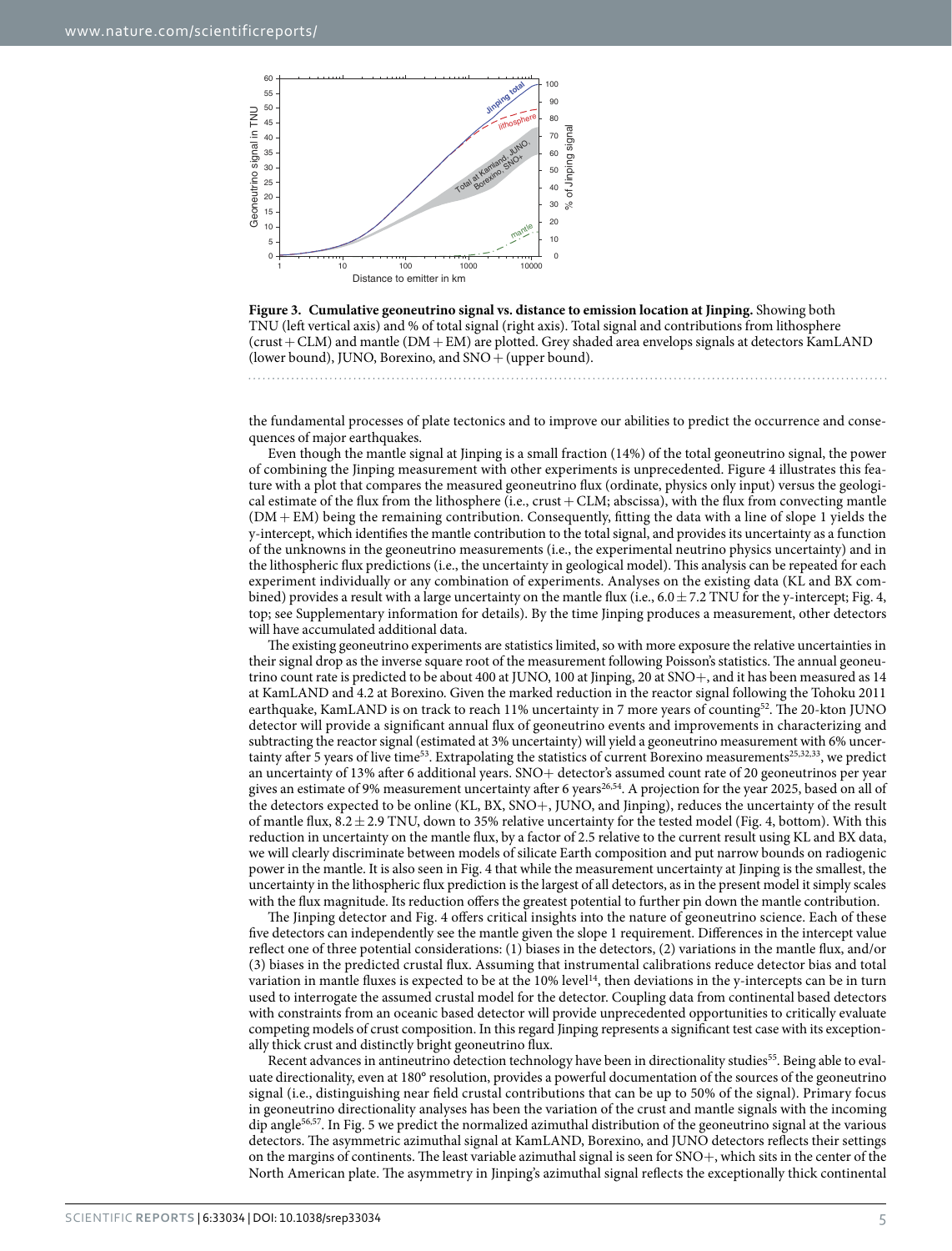

<span id="page-4-0"></span>

the fundamental processes of plate tectonics and to improve our abilities to predict the occurrence and consequences of major earthquakes.

Even though the mantle signal at Jinping is a small fraction (14%) of the total geoneutrino signal, the power of combining the Jinping measurement with other experiments is unprecedented. [Figure 4](#page-5-0) illustrates this feature with a plot that compares the measured geoneutrino flux (ordinate, physics only input) versus the geological estimate of the flux from the lithosphere (i.e., crust+ CLM; abscissa), with the flux from convecting mantle  $(DM + EM)$  being the remaining contribution. Consequently, fitting the data with a line of slope 1 yields the y-intercept, which identifies the mantle contribution to the total signal, and provides its uncertainty as a function of the unknowns in the geoneutrino measurements (i.e., the experimental neutrino physics uncertainty) and in the lithospheric flux predictions (i.e., the uncertainty in geological model). This analysis can be repeated for each experiment individually or any combination of experiments. Analyses on the existing data (KL and BX combined) provides a result with a large uncertainty on the mantle flux (i.e.,  $6.0 \pm 7.2$  TNU for the y-intercept; [Fig. 4,](#page-5-0) top; see Supplementary information for details). By the time Jinping produces a measurement, other detectors will have accumulated additional data.

The existing geoneutrino experiments are statistics limited, so with more exposure the relative uncertainties in their signal drop as the inverse square root of the measurement following Poisson's statistics. The annual geoneutrino count rate is predicted to be about 400 at JUNO, 100 at Jinping, 20 at SNO+, and it has been measured as 14 at KamLAND and 4.2 at Borexino. Given the marked reduction in the reactor signal following the Tohoku 2011 earthquake, KamLAND is on track to reach 11% uncertainty in 7 more years of counting<sup>[52](#page-8-28)</sup>. The 20-kton JUNO detector will provide a significant annual flux of geoneutrino events and improvements in characterizing and subtracting the reactor signal (estimated at 3% uncertainty) will yield a geoneutrino measurement with 6% uncer-tainty after 5 years of live time<sup>[53](#page-8-29)</sup>. Extrapolating the statistics of current Borexino measurements<sup>[25](#page-8-9),[32](#page-8-30),[33](#page-8-18)</sup>, we predict an uncertainty of 13% after 6 additional years. SNO+ detector's assumed count rate of 20 geoneutrinos per year gives an estimate of 9% measurement uncertainty after 6 years<sup>26,54</sup>. A projection for the year 2025, based on all of the detectors expected to be online (KL, BX, SNO+, JUNO, and Jinping), reduces the uncertainty of the result of mantle flux,  $8.2 \pm 2.9$  TNU, down to 35% relative uncertainty for the tested model [\(Fig. 4](#page-5-0), bottom). With this reduction in uncertainty on the mantle flux, by a factor of 2.5 relative to the current result using KL and BX data, we will clearly discriminate between models of silicate Earth composition and put narrow bounds on radiogenic power in the mantle. It is also seen in [Fig. 4](#page-5-0) that while the measurement uncertainty at Jinping is the smallest, the uncertainty in the lithospheric flux prediction is the largest of all detectors, as in the present model it simply scales with the flux magnitude. Its reduction offers the greatest potential to further pin down the mantle contribution.

The Jinping detector and [Fig. 4](#page-5-0) offers critical insights into the nature of geoneutrino science. Each of these five detectors can independently see the mantle given the slope 1 requirement. Differences in the intercept value reflect one of three potential considerations: (1) biases in the detectors, (2) variations in the mantle flux, and/or (3) biases in the predicted crustal flux. Assuming that instrumental calibrations reduce detector bias and total variation in mantle fluxes is expected to be at the 10% level<sup>14</sup>, then deviations in the y-intercepts can be in turn used to interrogate the assumed crustal model for the detector. Coupling data from continental based detectors with constraints from an oceanic based detector will provide unprecedented opportunities to critically evaluate competing models of crust composition. In this regard Jinping represents a significant test case with its exceptionally thick crust and distinctly bright geoneutrino flux.

Recent advances in antineutrino detection technology have been in directionality studies<sup>55</sup>. Being able to evaluate directionality, even at 180° resolution, provides a powerful documentation of the sources of the geoneutrino signal (i.e., distinguishing near field crustal contributions that can be up to 50% of the signal). Primary focus in geoneutrino directionality analyses has been the variation of the crust and mantle signals with the incoming dip angle<sup>56[,57](#page-9-1)</sup>. In [Fig. 5](#page-6-0) we predict the normalized azimuthal distribution of the geoneutrino signal at the various detectors. The asymmetric azimuthal signal at KamLAND, Borexino, and JUNO detectors reflects their settings on the margins of continents. The least variable azimuthal signal is seen for SNO+, which sits in the center of the North American plate. The asymmetry in Jinping's azimuthal signal reflects the exceptionally thick continental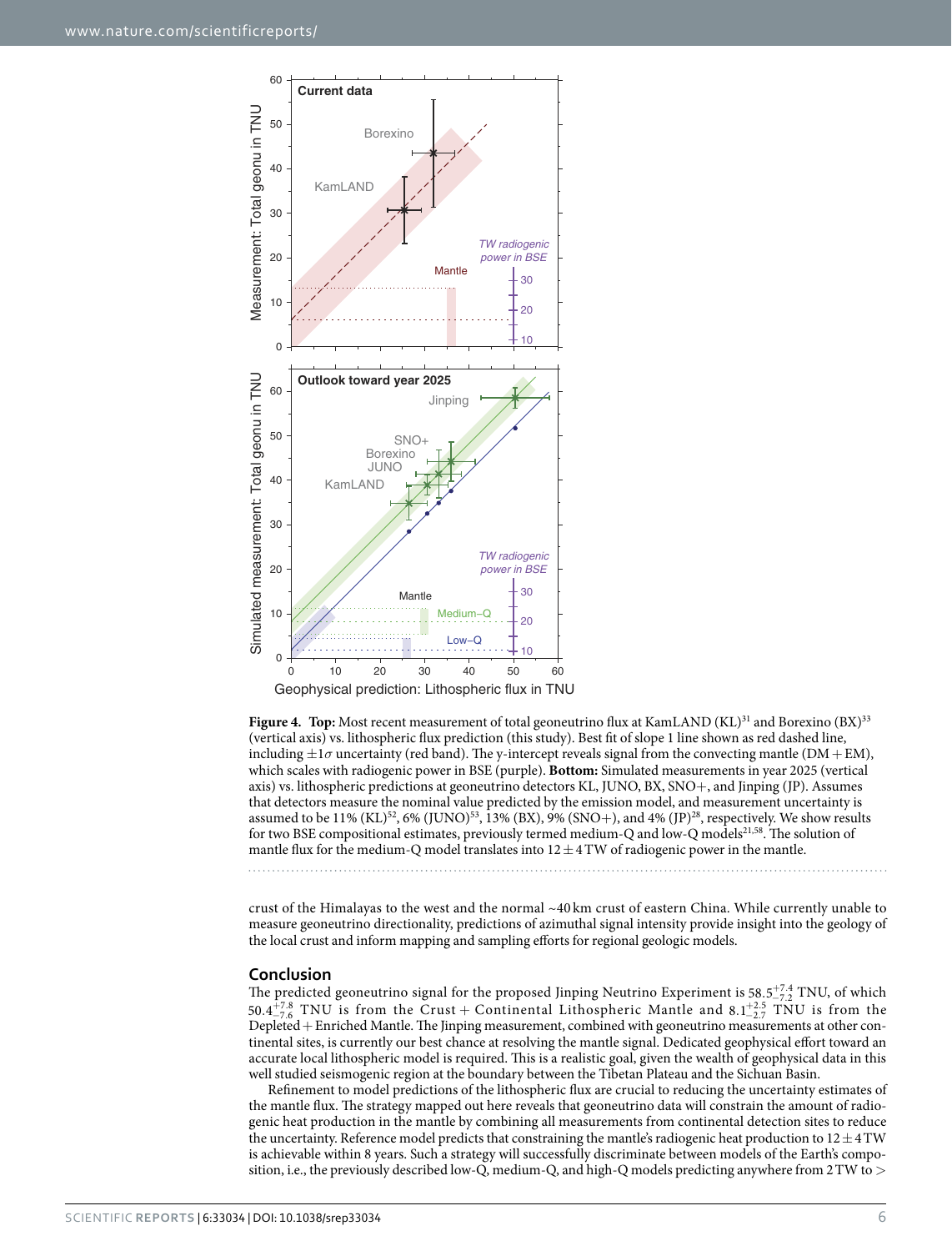

<span id="page-5-0"></span>Figure 4. Top: Most recent measurement of total geoneutrino flux at KamLAND (KL)<sup>31</sup> and Borexino (BX)<sup>33</sup> (vertical axis) vs. lithospheric flux prediction (this study). Best fit of slope 1 line shown as red dashed line, including  $\pm 1\sigma$  uncertainty (red band). The y-intercept reveals signal from the convecting mantle (DM + EM), which scales with radiogenic power in BSE (purple). **Bottom:** Simulated measurements in year 2025 (vertical axis) vs. lithospheric predictions at geoneutrino detectors KL, JUNO, BX, SNO+, and Jinping (JP). Assumes that detectors measure the nominal value predicted by the emission model, and measurement uncertainty is assumed to be  $11\%$  (KL)<sup>52</sup>, 6% (JUNO)<sup>53</sup>, 13% (BX), 9% (SNO+), and 4% (JP)<sup>[28](#page-8-12)</sup>, respectively. We show results for two BSE compositional estimates, previously termed medium-Q and low-Q models[21](#page-8-5),[58](#page-9-2). The solution of mantle flux for the medium-Q model translates into  $12 \pm 4$  TW of radiogenic power in the mantle.

crust of the Himalayas to the west and the normal ~40 km crust of eastern China. While currently unable to measure geoneutrino directionality, predictions of azimuthal signal intensity provide insight into the geology of the local crust and inform mapping and sampling efforts for regional geologic models.

### **Conclusion**

The predicted geoneutrino signal for the proposed Jinping Neutrino Experiment is  $58.5^{+7.4}_{-7.2}$  TNU, of which  $50.4\frac{+7.8}{-7.6}$  TNU is from the Crust + Continental Lithospheric Mantle and 8.1<sup>+2.5</sup> TNU is from the Depleted+ Enriched Mantle. The Jinping measurement, combined with geoneutrino measurements at other continental sites, is currently our best chance at resolving the mantle signal. Dedicated geophysical effort toward an accurate local lithospheric model is required. This is a realistic goal, given the wealth of geophysical data in this well studied seismogenic region at the boundary between the Tibetan Plateau and the Sichuan Basin.

Refinement to model predictions of the lithospheric flux are crucial to reducing the uncertainty estimates of the mantle flux. The strategy mapped out here reveals that geoneutrino data will constrain the amount of radiogenic heat production in the mantle by combining all measurements from continental detection sites to reduce the uncertainty. Reference model predicts that constraining the mantle's radiogenic heat production to  $12 \pm 4$  TW is achievable within 8 years. Such a strategy will successfully discriminate between models of the Earth's composition, i.e., the previously described low-Q, medium-Q, and high-Q models predicting anywhere from 2TW to >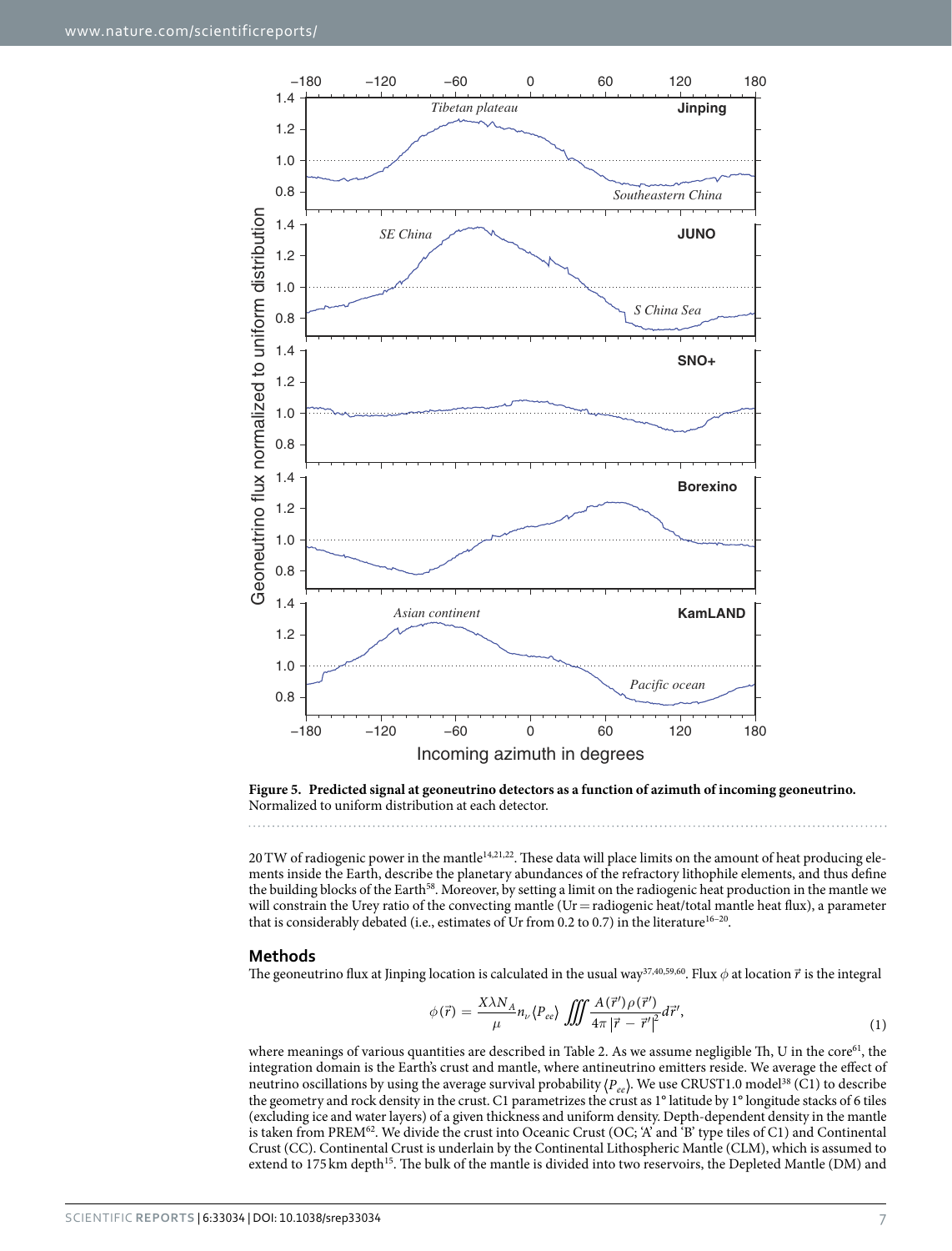

<span id="page-6-0"></span>**Figure 5. Predicted signal at geoneutrino detectors as a function of azimuth of incoming geoneutrino.**  Normalized to uniform distribution at each detector.

20 TW of radiogenic power in the mantle<sup>14,[21,](#page-8-5)22</sup>. These data will place limits on the amount of heat producing elements inside the Earth, describe the planetary abundances of the refractory lithophile elements, and thus define the building blocks of the Earth<sup>[58](#page-9-2)</sup>. Moreover, by setting a limit on the radiogenic heat production in the mantle we will constrain the Urey ratio of the convecting mantle (Ur = radiogenic heat/total mantle heat flux), a parameter that is considerably debated (i.e., estimates of Ur from 0.2 to 0.7) in the literature<sup>16-20</sup>.

#### **Methods**

The geoneutrino flux at Jinping location is calculated in the usual wa[y37](#page-8-20)[,40](#page-8-23)[,59](#page-9-3)[,60.](#page-9-4) Flux *φ* at location *r* is the integral

$$
\phi(\vec{r}) = \frac{X\lambda N_A}{\mu} n_{\nu} \langle P_{ee} \rangle \iiint \frac{A(\vec{r}') \rho(\vec{r}')}{4\pi |\vec{r} - \vec{r}'|^{2}} d\vec{r}',\tag{1}
$$

where meanings of various quantities are described in [Table 2.](#page-7-2) As we assume negligible Th, U in the core<sup>61</sup>, the integration domain is the Earth's crust and mantle, where antineutrino emitters reside. We average the effect of neutrino oscillations by using the average survival probability  $\langle P_{ee} \rangle$ . We use CRUST1.0 model<sup>38</sup> (C1) to describe the geometry and rock density in the crust. C1 parametrizes the crust as 1° latitude by 1° longitude stacks of 6 tiles (excluding ice and water layers) of a given thickness and uniform density. Depth-dependent density in the mantle is taken from PREM $^{62}$ . We divide the crust into Oceanic Crust (OC; 'A' and 'B' type tiles of C1) and Continental Crust (CC). Continental Crust is underlain by the Continental Lithospheric Mantle (CLM), which is assumed to extend to 175 km depth<sup>15</sup>. The bulk of the mantle is divided into two reservoirs, the Depleted Mantle (DM) and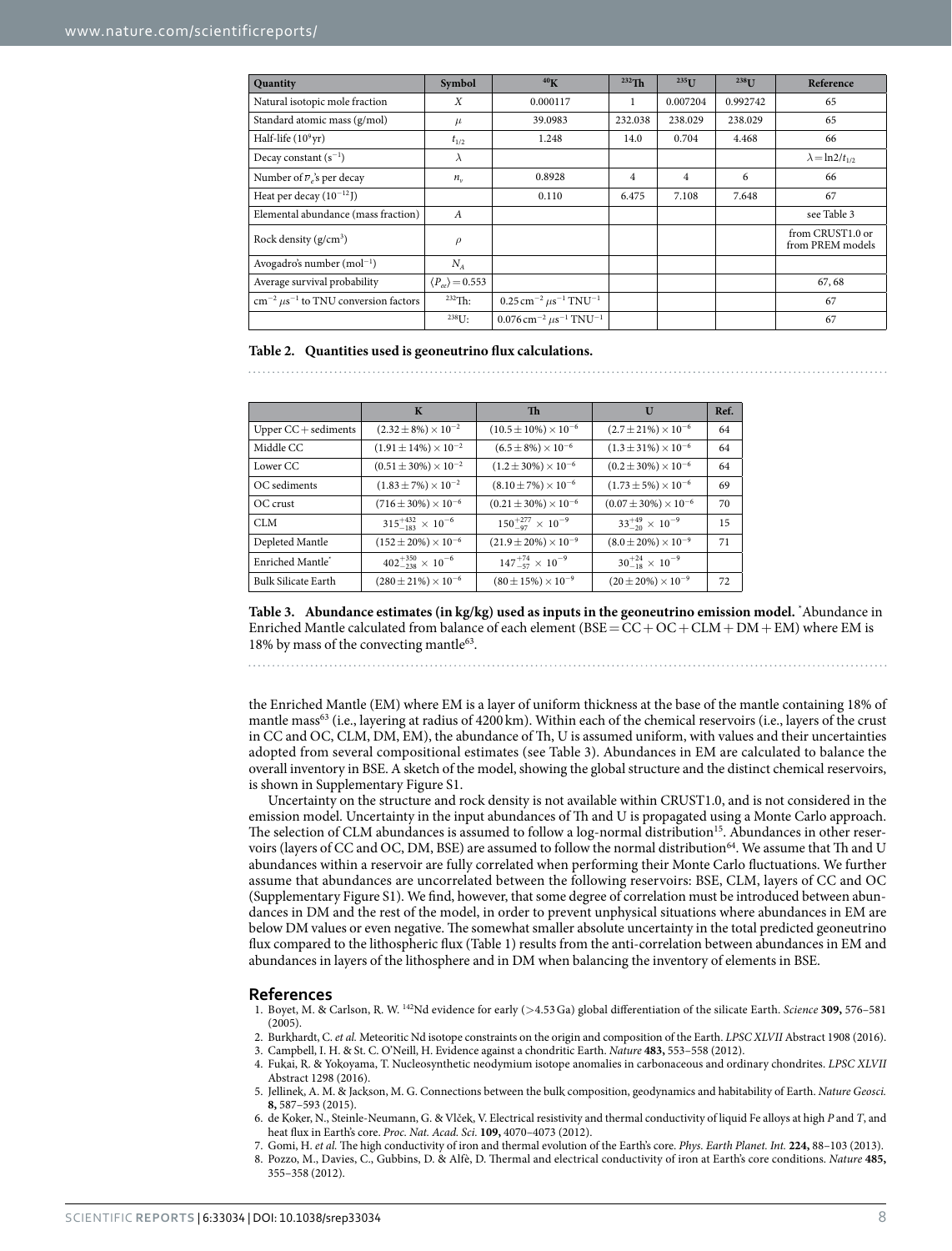<span id="page-7-2"></span>

| Quantity                                                         | Symbol                           | 40 <sub>K</sub>                                                     | $232$ Th | $235$ <sup>T</sup> | $238$ <sup>T</sup> | Reference                            |
|------------------------------------------------------------------|----------------------------------|---------------------------------------------------------------------|----------|--------------------|--------------------|--------------------------------------|
| Natural isotopic mole fraction                                   | X                                | 0.000117                                                            |          | 0.007204           | 0.992742           | 65                                   |
| Standard atomic mass (g/mol)                                     | $\mu$                            | 39.0983                                                             | 232.038  | 238.029            | 238.029            | 65                                   |
| Half-life $(10^9 \text{yr})$                                     | $t_{1/2}$                        | 1.248                                                               | 14.0     | 0.704              | 4.468              | 66                                   |
| Decay constant $(s^{-1})$                                        | $\lambda$                        |                                                                     |          |                    |                    | $\lambda = \ln 2/t_{1/2}$            |
| Number of $\overline{\nu}_e$ 's per decay                        | $n_{v}$                          | 0.8928                                                              | 4        | $\overline{4}$     | 6                  | 66                                   |
| Heat per decay $(10^{-12}$ J)                                    |                                  | 0.110                                                               | 6.475    | 7.108              | 7.648              | 67                                   |
| Elemental abundance (mass fraction)                              | $\boldsymbol{A}$                 |                                                                     |          |                    |                    | see Table 3                          |
| Rock density $(g/cm^3)$                                          | $\rho$                           |                                                                     |          |                    |                    | from CRUST1.0 or<br>from PREM models |
| Avogadro's number $(mol^{-1})$                                   | $N_A$                            |                                                                     |          |                    |                    |                                      |
| Average survival probability                                     | $\langle P_{ee} \rangle$ = 0.553 |                                                                     |          |                    |                    | 67,68                                |
| $\text{cm}^{-2}$ $\mu$ s <sup>-1</sup> to TNU conversion factors | $232$ Th:                        | $0.25 \,\mathrm{cm}^{-2} \,\mu\mathrm{s}^{-1} \,\mathrm{TNU^{-1}}$  |          |                    |                    | 67                                   |
|                                                                  | $238$ U:                         | $0.076 \,\mathrm{cm}^{-2} \,\mu\mathrm{s}^{-1} \,\mathrm{TNU^{-1}}$ |          |                    |                    | 67                                   |

#### **Table 2. Quantities used is geoneutrino flux calculations.**

<span id="page-7-3"></span>

|                            | $\mathbf{K}$                       | Th                                | U                                | Ref. |
|----------------------------|------------------------------------|-----------------------------------|----------------------------------|------|
| Upper $CC +$ sediments     | $(2.32 \pm 8\%) \times 10^{-2}$    | $(10.5 \pm 10\%) \times 10^{-6}$  | $(2.7 \pm 21\%) \times 10^{-6}$  | 64   |
| Middle CC                  | $(1.91 \pm 14\%) \times 10^{-2}$   | $(6.5 \pm 8\%) \times 10^{-6}$    | $(1.3 \pm 31\%) \times 10^{-6}$  | 64   |
| Lower CC                   | $(0.51 \pm 30\%) \times 10^{-2}$   | $(1.2 \pm 30\%) \times 10^{-6}$   | $(0.2 \pm 30\%) \times 10^{-6}$  | 64   |
| OC sediments               | $(1.83 \pm 7\%) \times 10^{-2}$    | $(8.10 \pm 7\%) \times 10^{-6}$   | $(1.73 \pm 5\%) \times 10^{-6}$  | 69   |
| OC crust                   | $(716 \pm 30\%) \times 10^{-6}$    | $(0.21 \pm 30\%) \times 10^{-6}$  | $(0.07 \pm 30\%) \times 10^{-6}$ | 70   |
| CLM                        | $315^{+432}_{-183} \times 10^{-6}$ | $150^{+277}_{-97} \times 10^{-9}$ | $33^{+49}_{-20} \times 10^{-9}$  | 15   |
| Depleted Mantle            | $(152 \pm 20\%) \times 10^{-6}$    | $(21.9 \pm 20\%) \times 10^{-9}$  | $(8.0 \pm 20\%) \times 10^{-9}$  | 71   |
| Enriched Mantle'           | $402^{+350}_{-238} \times 10^{-6}$ | $147^{+74}_{-57} \times 10^{-9}$  | $30^{+24}_{-18} \times 10^{-9}$  |      |
| <b>Bulk Silicate Earth</b> | $(280 \pm 21\%) \times 10^{-6}$    | $(80 \pm 15\%) \times 10^{-9}$    | $(20 \pm 20\%) \times 10^{-9}$   | 72   |

**Table 3. Abundance estimates (in kg/kg) used as inputs in the geoneutrino emission model.** \* Abundance in Enriched Mantle calculated from balance of each element ( $BSE=CC+OC+CLM+DM+EM$ ) where EM is 18% by mass of the convecting mantle<sup>63</sup>.

the Enriched Mantle (EM) where EM is a layer of uniform thickness at the base of the mantle containing 18% of mantle mass<sup>63</sup> (i.e., layering at radius of 4200 km). Within each of the chemical reservoirs (i.e., layers of the crust in CC and OC, CLM, DM, EM), the abundance of Th, U is assumed uniform, with values and their uncertainties adopted from several compositional estimates (see [Table 3\)](#page-7-3). Abundances in EM are calculated to balance the overall inventory in BSE. A sketch of the model, showing the global structure and the distinct chemical reservoirs, is shown in Supplementary Figure S1.

Uncertainty on the structure and rock density is not available within CRUST1.0, and is not considered in the emission model. Uncertainty in the input abundances of Th and U is propagated using a Monte Carlo approach. The selection of CLM abundances is assumed to follow a log-normal distribution<sup>[15](#page-8-3)</sup>. Abundances in other reser-voirs (layers of CC and OC, DM, BSE) are assumed to follow the normal distribution<sup>[64](#page-9-8)</sup>. We assume that Th and U abundances within a reservoir are fully correlated when performing their Monte Carlo fluctuations. We further assume that abundances are uncorrelated between the following reservoirs: BSE, CLM, layers of CC and OC (Supplementary Figure S1). We find, however, that some degree of correlation must be introduced between abundances in DM and the rest of the model, in order to prevent unphysical situations where abundances in EM are below DM values or even negative. The somewhat smaller absolute uncertainty in the total predicted geoneutrino flux compared to the lithospheric flux ([Table 1\)](#page-3-0) results from the anti-correlation between abundances in EM and abundances in layers of the lithosphere and in DM when balancing the inventory of elements in BSE.

#### **References**

- <span id="page-7-0"></span>1. Boyet, M. & Carlson, R. W. 142Nd evidence for early (>4.53Ga) global differentiation of the silicate Earth. *Science* **309,** 576–581  $(2005)$
- 2. Burkhardt, C. *et al.* Meteoritic Nd isotope constraints on the origin and composition of the Earth. *LPSC XLVII* Abstract 1908 (2016).
- 3. Campbell, I. H. & St. C. O'Neill, H. Evidence against a chondritic Earth. *Nature* **483,** 553–558 (2012). 4. Fukai, R. & Yokoyama, T. Nucleosynthetic neodymium isotope anomalies in carbonaceous and ordinary chondrites. *LPSC XLVII*
- Abstract 1298 (2016).
- 5. Jellinek, A. M. & Jackson, M. G. Connections between the bulk composition, geodynamics and habitability of Earth. *Nature Geosci.* **8,** 587–593 (2015).
- <span id="page-7-1"></span>6. de Koker, N., Steinle-Neumann, G. & Vlček, V. Electrical resistivity and thermal conductivity of liquid Fe alloys at high *P* and *T*, and heat flux in Earth's core. *Proc. Nat. Acad. Sci.* **109,** 4070–4073 (2012).
- 7. Gomi, H. *et al.* The high conductivity of iron and thermal evolution of the Earth's core. *Phys. Earth Planet. Int.* **224,** 88–103 (2013).
- 8. Pozzo, M., Davies, C., Gubbins, D. & Alfè, D. Thermal and electrical conductivity of iron at Earth's core conditions. *Nature* **485,** 355–358 (2012).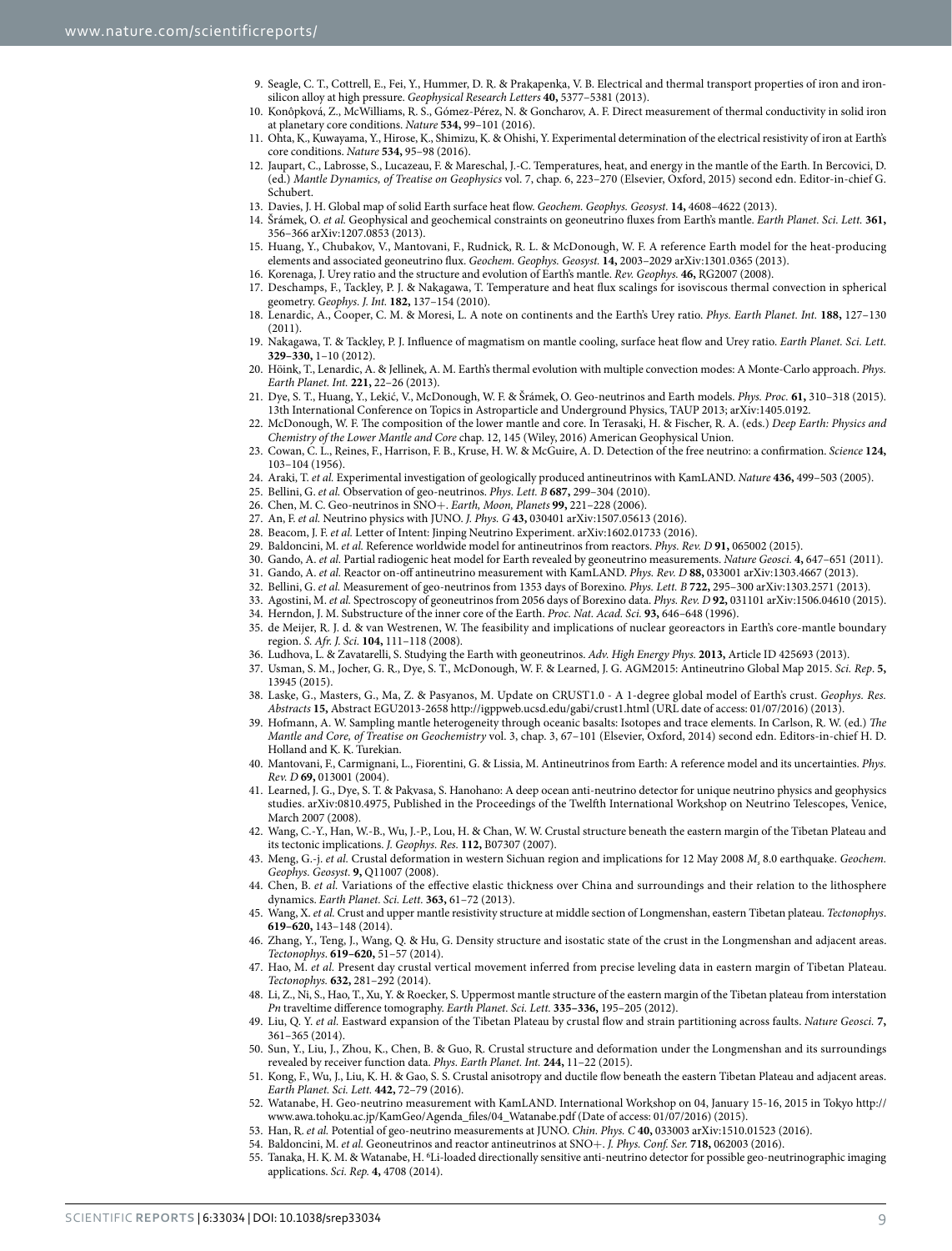- 9. Seagle, C. T., Cottrell, E., Fei, Y., Hummer, D. R. & Prakapenka, V. B. Electrical and thermal transport properties of iron and ironsilicon alloy at high pressure. *Geophysical Research Letters* **40,** 5377–5381 (2013).
- 10. Konôpková, Z., McWilliams, R. S., Gómez-Pérez, N. & Goncharov, A. F. Direct measurement of thermal conductivity in solid iron at planetary core conditions. *Nature* **534,** 99–101 (2016).
- 11. Ohta, K., Kuwayama, Y., Hirose, K., Shimizu, K. & Ohishi, Y. Experimental determination of the electrical resistivity of iron at Earth's core conditions. *Nature* **534,** 95–98 (2016).
- <span id="page-8-0"></span>12. Jaupart, C., Labrosse, S., Lucazeau, F. & Mareschal, J.-C. Temperatures, heat, and energy in the mantle of the Earth. In Bercovici, D. (ed.) *Mantle Dynamics, of Treatise on Geophysics* vol. 7, chap. 6, 223–270 (Elsevier, Oxford, 2015) second edn. Editor-in-chief G. Schubert.
- <span id="page-8-1"></span>13. Davies, J. H. Global map of solid Earth surface heat flow. *Geochem. Geophys. Geosyst.* **14,** 4608–4622 (2013).
- <span id="page-8-2"></span>14. Šrámek, O. *et al.* Geophysical and geochemical constraints on geoneutrino fluxes from Earth's mantle. *Earth Planet. Sci. Lett.* **361,** 356–366 arXiv:1207.0853 (2013).
- <span id="page-8-3"></span>15. Huang, Y., Chubakov, V., Mantovani, F., Rudnick, R. L. & McDonough, W. F. A reference Earth model for the heat-producing elements and associated geoneutrino flux. *Geochem. Geophys. Geosyst.* **14,** 2003–2029 arXiv:1301.0365 (2013).
- 16. Korenaga, J. Urey ratio and the structure and evolution of Earth's mantle. *Rev. Geophys.* **46,** RG2007 (2008).
- <span id="page-8-4"></span>17. Deschamps, F., Tackley, P. J. & Nakagawa, T. Temperature and heat flux scalings for isoviscous thermal convection in spherical geometry. *Geophys. J. Int.* **182,** 137–154 (2010).
- 18. Lenardic, A., Cooper, C. M. & Moresi, L. A note on continents and the Earth's Urey ratio. *Phys. Earth Planet. Int.* **188,** 127–130 (2011).
- 19. Nakagawa, T. & Tackley, P. J. Influence of magmatism on mantle cooling, surface heat flow and Urey ratio. *Earth Planet. Sci. Lett.* **329–330,** 1–10 (2012).
- 20. Höink, T., Lenardic, A. & Jellinek, A. M. Earth's thermal evolution with multiple convection modes: A Monte-Carlo approach. *Phys. Earth Planet. Int.* **221,** 22–26 (2013).
- <span id="page-8-5"></span>21. Dye, S. T., Huang, Y., Lekić, V., McDonough, W. F. & Šrámek, O. Geo-neutrinos and Earth models. *Phys. Proc.* **61,** 310–318 (2015). 13th International Conference on Topics in Astroparticle and Underground Physics, TAUP 2013; arXiv:1405.0192.
- <span id="page-8-6"></span>22. McDonough, W. F. The composition of the lower mantle and core. In Terasaki, H. & Fischer, R. A. (eds.) *Deep Earth: Physics and Chemistry of the Lower Mantle and Core* chap. 12, 145 (Wiley, 2016) American Geophysical Union.
- <span id="page-8-7"></span>23. Cowan, C. L., Reines, F., Harrison, F. B., Kruse, H. W. & McGuire, A. D. Detection of the free neutrino: a confirmation. *Science* **124,** 103–104 (1956).
- <span id="page-8-8"></span>24. Araki, T. *et al.* Experimental investigation of geologically produced antineutrinos with KamLAND. *Nature* **436,** 499–503 (2005).
- <span id="page-8-10"></span><span id="page-8-9"></span>25. Bellini, G. *et al.* Observation of geo-neutrinos. *Phys. Lett. B* **687,** 299–304 (2010).
- 26. Chen, M. C. Geo-neutrinos in SNO+. *Earth, Moon, Planets* **99,** 221–228 (2006).
- <span id="page-8-11"></span>27. An, F. *et al.* Neutrino physics with JUNO. *J. Phys. G* **43,** 030401 arXiv:1507.05613 (2016).
- <span id="page-8-12"></span>28. Beacom, J. F. *et al.* Letter of Intent: Jinping Neutrino Experiment. arXiv:1602.01733 (2016).
- <span id="page-8-14"></span><span id="page-8-13"></span>29. Baldoncini, M. *et al.* Reference worldwide model for antineutrinos from reactors. *Phys. Rev. D* **91,** 065002 (2015).
- 30. Gando, A. *et al.* Partial radiogenic heat model for Earth revealed by geoneutrino measurements. *Nature Geosci.* **4,** 647–651 (2011).
- <span id="page-8-15"></span>31. Gando, A. *et al.* Reactor on-off antineutrino measurement with KamLAND. *Phys. Rev. D* **88,** 033001 arXiv:1303.4667 (2013). 32. Bellini, G. *et al.* Measurement of geo-neutrinos from 1353 days of Borexino. *Phys. Lett. B* **722,** 295–300 arXiv:1303.2571 (2013).
- <span id="page-8-30"></span><span id="page-8-18"></span>33. Agostini, M. *et al.* Spectroscopy of geoneutrinos from 2056 days of Borexino data. *Phys. Rev. D* **92,** 031101 arXiv:1506.04610 (2015).
- <span id="page-8-16"></span>34. Herndon, J. M. Substructure of the inner core of the Earth. *Proc. Nat. Acad. Sci.* **93,** 646–648 (1996).
- <span id="page-8-17"></span>35. de Meijer, R. J. d. & van Westrenen, W. The feasibility and implications of nuclear georeactors in Earth's core-mantle boundary region. *S. Afr. J. Sci.* **104,** 111–118 (2008).
- <span id="page-8-19"></span>36. Ludhova, L. & Zavatarelli, S. Studying the Earth with geoneutrinos. *Adv. High Energy Phys.* **2013,** Article ID 425693 (2013).
- <span id="page-8-20"></span>37. Usman, S. M., Jocher, G. R., Dye, S. T., McDonough, W. F. & Learned, J. G. AGM2015: Antineutrino Global Map 2015. *Sci. Rep*. **5,** 13945 (2015).
- <span id="page-8-21"></span>38. Laske, G., Masters, G., Ma, Z. & Pasyanos, M. Update on CRUST1.0 - A 1-degree global model of Earth's crust. *Geophys. Res. Abstracts* **15,** Abstract EGU2013-2658<http://igppweb.ucsd.edu/gabi/crust1.html> (URL date of access: 01/07/2016) (2013).
- <span id="page-8-22"></span>39. Hofmann, A. W. Sampling mantle heterogeneity through oceanic basalts: Isotopes and trace elements. In Carlson, R. W. (ed.) *The Mantle and Core, of Treatise on Geochemistry* vol. 3, chap. 3, 67–101 (Elsevier, Oxford, 2014) second edn. Editors-in-chief H. D. Holland and K. K. Turekian.
- <span id="page-8-23"></span>40. Mantovani, F., Carmignani, L., Fiorentini, G. & Lissia, M. Antineutrinos from Earth: A reference model and its uncertainties. *Phys. Rev. D* **69,** 013001 (2004).
- <span id="page-8-24"></span>41. Learned, J. G., Dye, S. T. & Pakvasa, S. Hanohano: A deep ocean anti-neutrino detector for unique neutrino physics and geophysics studies. arXiv:0810.4975, Published in the Proceedings of the Twelfth International Workshop on Neutrino Telescopes, Venice, March 2007 (2008).
- <span id="page-8-25"></span>42. Wang, C.-Y., Han, W.-B., Wu, J.-P., Lou, H. & Chan, W. W. Crustal structure beneath the eastern margin of the Tibetan Plateau and its tectonic implications. *J. Geophys. Res.* **112,** B07307 (2007).
- 43. Meng, G.-j. *et al.* Crustal deformation in western Sichuan region and implications for 12 May 2008 *Ms* 8.0 earthquake. *Geochem. Geophys. Geosyst.* **9,** Q11007 (2008).
- 44. Chen, B. *et al.* Variations of the effective elastic thickness over China and surroundings and their relation to the lithosphere dynamics. *Earth Planet. Sci. Lett.* **363,** 61–72 (2013).
- 45. Wang, X. *et al.* Crust and upper mantle resistivity structure at middle section of Longmenshan, eastern Tibetan plateau. *Tectonophys*. **619–620,** 143–148 (2014).
- 46. Zhang, Y., Teng, J., Wang, Q. & Hu, G. Density structure and isostatic state of the crust in the Longmenshan and adjacent areas. *Tectonophys*. **619–620,** 51–57 (2014).
- <span id="page-8-26"></span>47. Hao, M. *et al.* Present day crustal vertical movement inferred from precise leveling data in eastern margin of Tibetan Plateau. *Tectonophys.* **632,** 281–292 (2014).
- <span id="page-8-27"></span>48. Li, Z., Ni, S., Hao, T., Xu, Y. & Roecker, S. Uppermost mantle structure of the eastern margin of the Tibetan plateau from interstation *Pn* traveltime difference tomography. *Earth Planet. Sci. Lett.* **335–336,** 195–205 (2012).
- 49. Liu, Q. Y. *et al.* Eastward expansion of the Tibetan Plateau by crustal flow and strain partitioning across faults. *Nature Geosci.* **7,** 361–365 (2014).
- 50. Sun, Y., Liu, J., Zhou, K., Chen, B. & Guo, R. Crustal structure and deformation under the Longmenshan and its surroundings revealed by receiver function data. *Phys. Earth Planet. Int.* **244,** 11–22 (2015).
- 51. Kong, F., Wu, J., Liu, K. H. & Gao, S. S. Crustal anisotropy and ductile flow beneath the eastern Tibetan Plateau and adjacent areas. *Earth Planet. Sci. Lett.* **442,** 72–79 (2016).
- <span id="page-8-28"></span>52. Watanabe, H. Geo-neutrino measurement with KamLAND. International Workshop on 04, January 15-16, 2015 in Tokyo [http://](http://www.awa.tohoku.ac.jp/KamGeo/Agenda_files/04_Watanabe.pdf) [www.awa.tohoku.ac.jp/KamGeo/Agenda\\_files/04\\_Watanabe.pdf](http://www.awa.tohoku.ac.jp/KamGeo/Agenda_files/04_Watanabe.pdf) (Date of access: 01/07/2016) (2015).
- <span id="page-8-29"></span>53. Han, R. *et al.* Potential of geo-neutrino measurements at JUNO. *Chin. Phys. C* **40,** 033003 arXiv:1510.01523 (2016).
- <span id="page-8-32"></span><span id="page-8-31"></span>54. Baldoncini, M. *et al.* Geoneutrinos and reactor antineutrinos at SNO+. *J. Phys. Conf. Ser.* **718,** 062003 (2016).
- 55. Tanaka, H. K. M. & Watanabe, H. 6 Li-loaded directionally sensitive anti-neutrino detector for possible geo-neutrinographic imaging applications. *Sci. Rep.* **4,** 4708 (2014).